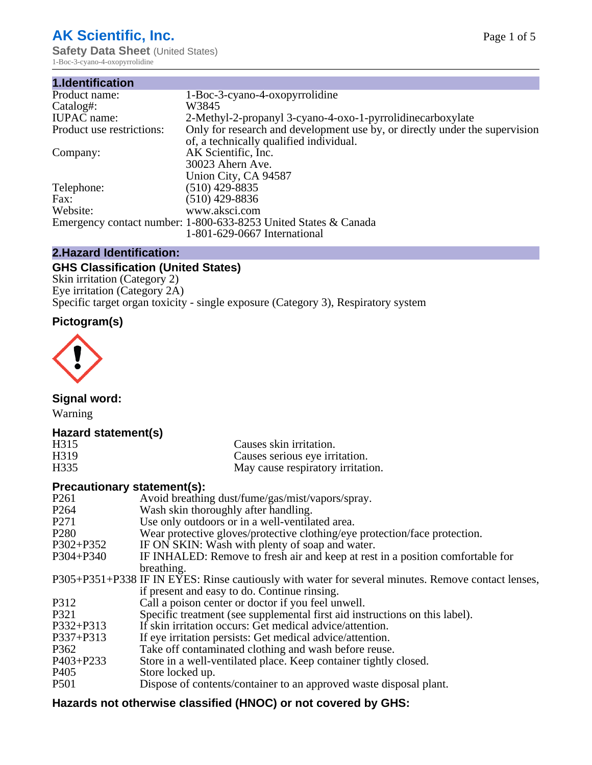# **AK Scientific, Inc.**

**Safety Data Sheet (United States)** 1-Boc-3-cyano-4-oxopyrrolidine

| 1.Identification          |                                                                             |
|---------------------------|-----------------------------------------------------------------------------|
| Product name:             | 1-Boc-3-cyano-4-oxopyrrolidine                                              |
| Catalog#:                 | W3845                                                                       |
| <b>IUPAC</b> name:        | 2-Methyl-2-propanyl 3-cyano-4-oxo-1-pyrrolidinecarboxylate                  |
| Product use restrictions: | Only for research and development use by, or directly under the supervision |
|                           | of, a technically qualified individual.                                     |
| Company:                  | AK Scientific, Inc.                                                         |
|                           | 30023 Ahern Ave.                                                            |
|                           | Union City, CA 94587                                                        |
| Telephone:                | $(510)$ 429-8835                                                            |
| Fax:                      | $(510)$ 429-8836                                                            |
| Website:                  | www.aksci.com                                                               |
|                           | Emergency contact number: 1-800-633-8253 United States & Canada             |
|                           | 1-801-629-0667 International                                                |

# **2.Hazard Identification:**

# **GHS Classification (United States)**

Skin irritation (Category 2) Eye irritation (Category 2A) Specific target organ toxicity - single exposure (Category 3), Respiratory system

# **Pictogram(s)**



**Signal word:**

Warning

# **Hazard statement(s)**

| H315             | Causes skin irritation.           |
|------------------|-----------------------------------|
| H <sub>319</sub> | Causes serious eye irritation.    |
| H335             | May cause respiratory irritation. |

## **Precautionary statement(s):**

| P <sub>261</sub> | Avoid breathing dust/fume/gas/mist/vapors/spray.                                                   |
|------------------|----------------------------------------------------------------------------------------------------|
| P <sub>264</sub> | Wash skin thoroughly after handling.                                                               |
| P <sub>271</sub> | Use only outdoors or in a well-ventilated area.                                                    |
| P <sub>280</sub> | Wear protective gloves/protective clothing/eye protection/face protection.                         |
| P302+P352        | IF ON SKIN: Wash with plenty of soap and water.                                                    |
| $P304 + P340$    | IF INHALED: Remove to fresh air and keep at rest in a position comfortable for                     |
|                  | breathing.                                                                                         |
|                  | P305+P351+P338 IF IN EYES: Rinse cautiously with water for several minutes. Remove contact lenses, |
|                  | if present and easy to do. Continue rinsing.                                                       |
| P312             | Call a poison center or doctor if you feel unwell.                                                 |
| P321             | Specific treatment (see supplemental first aid instructions on this label).                        |
| P332+P313        | If skin irritation occurs: Get medical advice/attention.                                           |
| P337+P313        | If eye irritation persists: Get medical advice/attention.                                          |
| P362             | Take off contaminated clothing and wash before reuse.                                              |
| $P403 + P233$    | Store in a well-ventilated place. Keep container tightly closed.                                   |
| P <sub>405</sub> | Store locked up.                                                                                   |
| P <sub>501</sub> | Dispose of contents/container to an approved waste disposal plant.                                 |
|                  |                                                                                                    |

# **Hazards not otherwise classified (HNOC) or not covered by GHS:**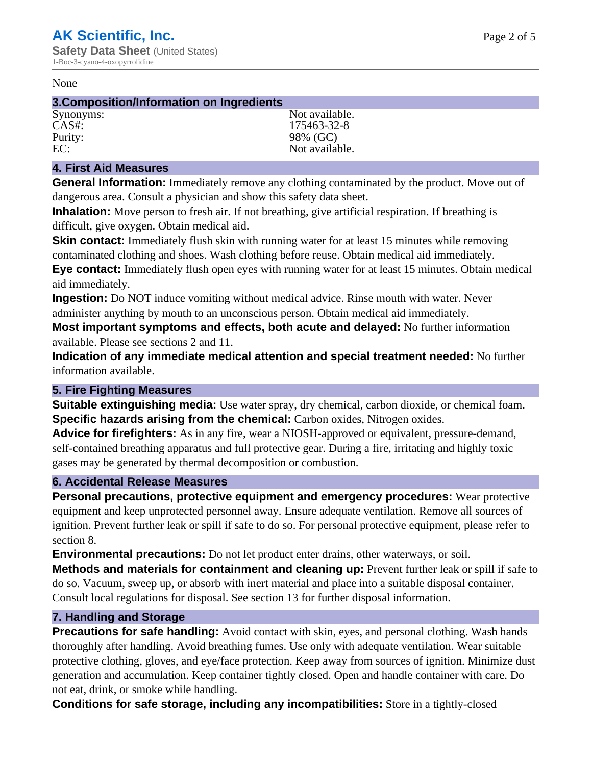#### None

#### **3.Composition/Information on Ingredients**

Purity: 98% (GC)<br>EC: Not availal

Synonyms: Not available. CAS#: 175463-32-8 Not available.

## **4. First Aid Measures**

**General Information:** Immediately remove any clothing contaminated by the product. Move out of dangerous area. Consult a physician and show this safety data sheet.

**Inhalation:** Move person to fresh air. If not breathing, give artificial respiration. If breathing is difficult, give oxygen. Obtain medical aid.

**Skin contact:** Immediately flush skin with running water for at least 15 minutes while removing contaminated clothing and shoes. Wash clothing before reuse. Obtain medical aid immediately. **Eye contact:** Immediately flush open eyes with running water for at least 15 minutes. Obtain medical aid immediately.

**Ingestion:** Do NOT induce vomiting without medical advice. Rinse mouth with water. Never administer anything by mouth to an unconscious person. Obtain medical aid immediately.

**Most important symptoms and effects, both acute and delayed:** No further information available. Please see sections 2 and 11.

**Indication of any immediate medical attention and special treatment needed:** No further information available.

## **5. Fire Fighting Measures**

**Suitable extinguishing media:** Use water spray, dry chemical, carbon dioxide, or chemical foam. **Specific hazards arising from the chemical:** Carbon oxides, Nitrogen oxides.

**Advice for firefighters:** As in any fire, wear a NIOSH-approved or equivalent, pressure-demand, self-contained breathing apparatus and full protective gear. During a fire, irritating and highly toxic gases may be generated by thermal decomposition or combustion.

## **6. Accidental Release Measures**

**Personal precautions, protective equipment and emergency procedures:** Wear protective equipment and keep unprotected personnel away. Ensure adequate ventilation. Remove all sources of ignition. Prevent further leak or spill if safe to do so. For personal protective equipment, please refer to section 8.

**Environmental precautions:** Do not let product enter drains, other waterways, or soil.

**Methods and materials for containment and cleaning up:** Prevent further leak or spill if safe to do so. Vacuum, sweep up, or absorb with inert material and place into a suitable disposal container. Consult local regulations for disposal. See section 13 for further disposal information.

## **7. Handling and Storage**

**Precautions for safe handling:** Avoid contact with skin, eyes, and personal clothing. Wash hands thoroughly after handling. Avoid breathing fumes. Use only with adequate ventilation. Wear suitable protective clothing, gloves, and eye/face protection. Keep away from sources of ignition. Minimize dust generation and accumulation. Keep container tightly closed. Open and handle container with care. Do not eat, drink, or smoke while handling.

**Conditions for safe storage, including any incompatibilities:** Store in a tightly-closed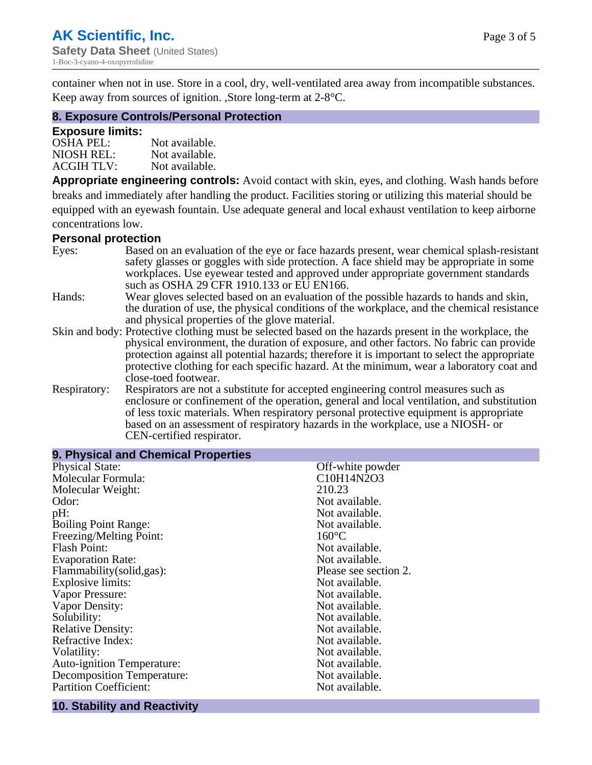container when not in use. Store in a cool, dry, well-ventilated area away from incompatible substances. Keep away from sources of ignition. ,Store long-term at 2-8°C.

## **8. Exposure Controls/Personal Protection**

#### **Exposure limits:**

| <b>OSHA PEL:</b>  | Not available. |
|-------------------|----------------|
| NIOSH REL:        | Not available. |
| <b>ACGIH TLV:</b> | Not available. |

**Appropriate engineering controls:** Avoid contact with skin, eyes, and clothing. Wash hands before breaks and immediately after handling the product. Facilities storing or utilizing this material should be equipped with an eyewash fountain. Use adequate general and local exhaust ventilation to keep airborne concentrations low.

#### **Personal protection**

| Eyes:        | Based on an evaluation of the eye or face hazards present, wear chemical splash-resistant<br>safety glasses or goggles with side protection. A face shield may be appropriate in some |
|--------------|---------------------------------------------------------------------------------------------------------------------------------------------------------------------------------------|
|              | workplaces. Use eyewear tested and approved under appropriate government standards<br>such as OSHA 29 CFR 1910.133 or EU EN166.                                                       |
| Hands:       | Wear gloves selected based on an evaluation of the possible hazards to hands and skin,                                                                                                |
|              | the duration of use, the physical conditions of the workplace, and the chemical resistance                                                                                            |
|              | and physical properties of the glove material.                                                                                                                                        |
|              | Skin and body: Protective clothing must be selected based on the hazards present in the workplace, the                                                                                |
|              | physical environment, the duration of exposure, and other factors. No fabric can provide                                                                                              |
|              | protection against all potential hazards; therefore it is important to select the appropriate                                                                                         |
|              | protective clothing for each specific hazard. At the minimum, wear a laboratory coat and                                                                                              |
|              | close-toed footwear.                                                                                                                                                                  |
| Respiratory: | Respirators are not a substitute for accepted engineering control measures such as<br>enclosure or confinement of the operation, general and local ventilation, and substitution      |
|              | of less toxic materials. When respiratory personal protective equipment is appropriate                                                                                                |
|              | based on an assessment of respiratory hazards in the workplace, use a NIOSH- or                                                                                                       |
|              | CEN-certified respirator.                                                                                                                                                             |

| 9. Physical and Chemical Properties |                       |
|-------------------------------------|-----------------------|
| <b>Physical State:</b>              | Off-white powder      |
| Molecular Formula:                  | C10H14N2O3            |
| Molecular Weight:                   | 210.23                |
| Odor:                               | Not available.        |
| pH:                                 | Not available.        |
| <b>Boiling Point Range:</b>         | Not available.        |
| Freezing/Melting Point:             | $160^{\circ}$ C       |
| <b>Flash Point:</b>                 | Not available.        |
| <b>Evaporation Rate:</b>            | Not available.        |
| Flammability(solid,gas):            | Please see section 2. |
| <b>Explosive limits:</b>            | Not available.        |
| Vapor Pressure:                     | Not available.        |
| Vapor Density:                      | Not available.        |
| Solubility:                         | Not available.        |
| <b>Relative Density:</b>            | Not available.        |
| Refractive Index:                   | Not available.        |
| Volatility:                         | Not available.        |
| <b>Auto-ignition Temperature:</b>   | Not available.        |
| <b>Decomposition Temperature:</b>   | Not available.        |
| <b>Partition Coefficient:</b>       | Not available.        |
|                                     |                       |

# **10. Stability and Reactivity**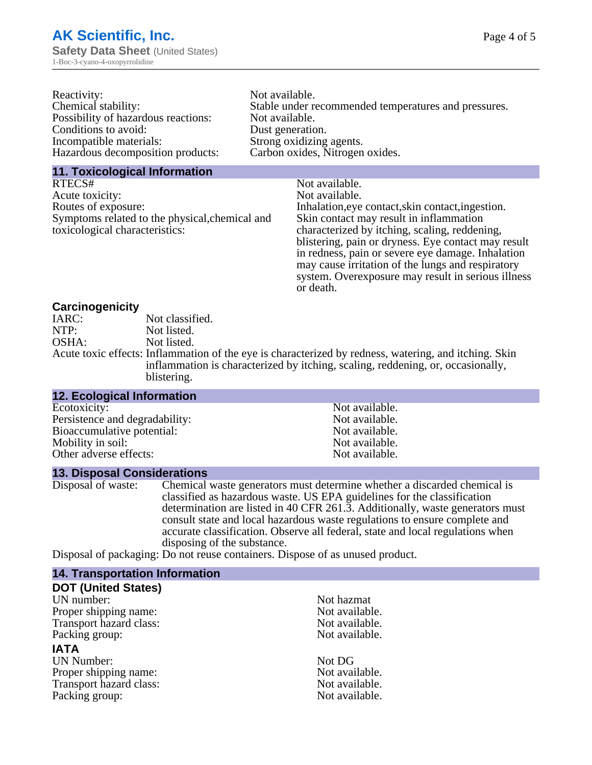| Reactivity:                         | Not available.                                       |
|-------------------------------------|------------------------------------------------------|
| Chemical stability:                 | Stable under recommended temperatures and pressures. |
| Possibility of hazardous reactions: | Not available.                                       |
| Conditions to avoid:                | Dust generation.                                     |
| Incompatible materials:             | Strong oxidizing agents.                             |
| Hazardous decomposition products:   | Carbon oxides, Nitrogen oxides.                      |
|                                     |                                                      |

#### **11. Toxicological Information**

| RTECS#                                         | Not available.                                      |
|------------------------------------------------|-----------------------------------------------------|
| Acute toxicity:                                | Not available.                                      |
| Routes of exposure:                            | Inhalation, eye contact, skin contact, ingestion.   |
| Symptoms related to the physical, chemical and | Skin contact may result in inflammation             |
| toxicological characteristics:                 | characterized by itching, scaling, reddening,       |
|                                                | blistering, pain or dryness. Eye contact may result |
|                                                | in redness, pain or severe eye damage. Inhalation   |
|                                                | may cause irritation of the lungs and respiratory   |
|                                                | system. Overexposure may result in serious illness  |

or death.

#### **Carcinogenicity**

| IARC: | Not classified.                                                                                       |
|-------|-------------------------------------------------------------------------------------------------------|
| NTP:  | Not listed.                                                                                           |
| OSHA: | Not listed.                                                                                           |
|       | Acute toxic effects: Inflammation of the eye is characterized by redness, watering, and itching. Skin |
|       | inflammation is characterized by itching, scaling, reddening, or, occasionally,                       |
|       | blistering.                                                                                           |

| <b>12. Ecological Information</b> |                |  |
|-----------------------------------|----------------|--|
| Ecotoxicity:                      | Not available. |  |
| Persistence and degradability:    | Not available. |  |
| Bioaccumulative potential:        | Not available. |  |
| Mobility in soil:                 | Not available. |  |
| Other adverse effects:            | Not available. |  |

#### **13. Disposal Considerations**

Disposal of waste: Chemical waste generators must determine whether a discarded chemical is classified as hazardous waste. US EPA guidelines for the classification determination are listed in 40 CFR 261.3. Additionally, waste generators must consult state and local hazardous waste regulations to ensure complete and accurate classification. Observe all federal, state and local regulations when disposing of the substance.

Disposal of packaging: Do not reuse containers. Dispose of as unused product.

| <b>14. Transportation Information</b> |                |
|---------------------------------------|----------------|
| <b>DOT (United States)</b>            |                |
| UN number:                            | Not hazmat     |
| Proper shipping name:                 | Not available. |
| Transport hazard class:               | Not available. |
| Packing group:                        | Not available. |
| <b>IATA</b>                           |                |
| <b>UN Number:</b>                     | Not DG         |
| Proper shipping name:                 | Not available. |
| Transport hazard class:               | Not available. |
| Packing group:                        | Not available. |